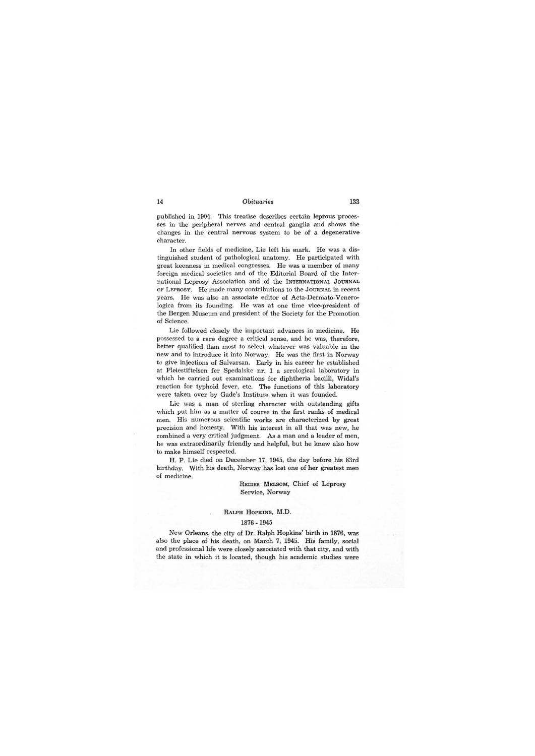## RALPH HOPKINS, M.D.

## 1876 -1945

New Orleans, the city of Dr. Ralph Hopkins' birth in 1876, was also the place of his death, on March 7, 1945. His family, social and professional life were closely associated with that city, and with the state in which it is located, though his academic studies were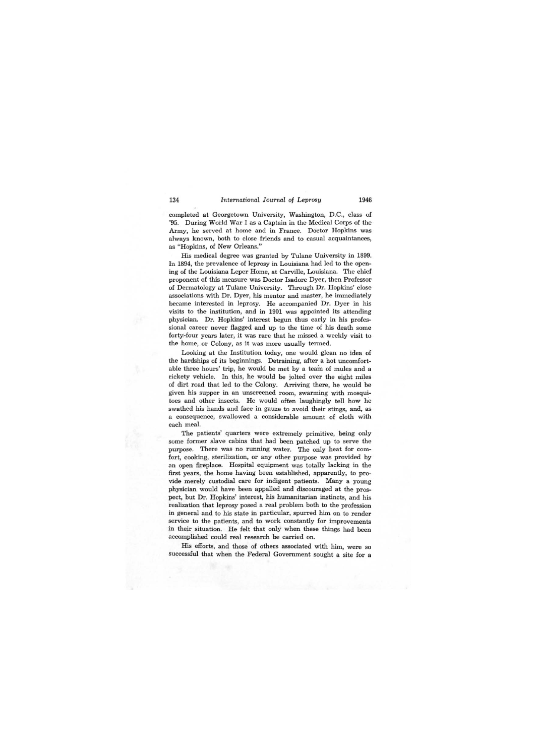completed at Georgetown University, Washington, D.C., class of '95. During World War I as a Captain in the Medical Corps of the Army, he served at home and in France. Doctor Hopkins was always known, both to close friends and to casual acquaintances, as "Hopkins, of New Orleans."

His medical degree was granted by Tulane University in 1899. In 1894, the prevalence of leprosy in Louisiana had led to the opening of the Louisiana Leper Home, at Carville, Louisiana. The chief proponent of this measure was Doctor Isadore Dyer, then Professor of Dermatology at Tulane University. Through Dr. Hopkins' close associations with Dr. Dyer, his mentor and master, he immediately became interested in leprosy. He accompanied Dr. Dyer in his visits to the institution, and in 1901 was appointed its attending physician. Dr. Hopkins' interest begun thus early in his professional career never flagged and up to the time of his death some forty,-four years later, it was rare that he missed a weekly visit to the home, or Colony, as it was more usually termed.

Looking at the Institution today, one would glean no idea of the hardships of its beginnings. Detraining, after a hot uncomfortable three hours' trip, he would be met by a team of mules and a rickety vehicle. In this, he would be jolted over the eight miles of dirt road that led to the Colony. Arriving there, he would be given his supper in an unscreened room, swarming with mosquitoes and other insects. He would often laughingly tell how he swathed his hands and face in gauze to avoid their stings, and, as a consequence, swallowed a considerable amount of cloth with each meal.

The patients' quarters were extremely primitive, being only some former slave cabins that had been patched up to serve the purpose. There was no running water. The only heat for comfort, cooking, sterilization, or any other purpose was provided by an open fireplace. Hospital equipment was totally lacking in the first years, the home having been established, apparently, to provide merely custodial care for indigent patients. Many a young physician would have been appalled and discouraged at the prospect, but Dr. Hopkins' interest, his humanitarian instincts, and his realization that leprosy posed a real problem both to the profession in general and to his state in particular, spurred him on to render service to the patients, and to work constantly for improvements in their situation. He felt that only when these things had been accomplished could real research be carried on.

His efforts, and those of others associated with him, were so successful that when the Federal Government sought a site for a